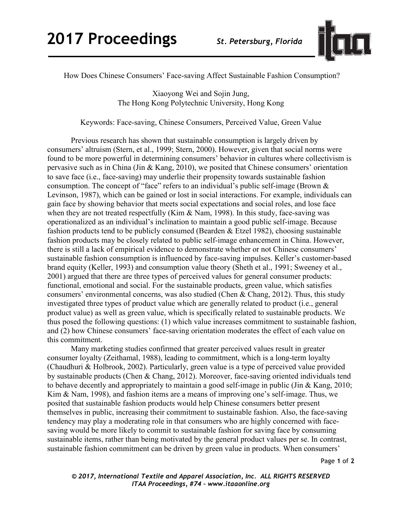

How Does Chinese Consumers' Face-saving Affect Sustainable Fashion Consumption?

Xiaoyong Wei and Sojin Jung, The Hong Kong Polytechnic University, Hong Kong

Keywords: Face-saving, Chinese Consumers, Perceived Value, Green Value

Previous research has shown that sustainable consumption is largely driven by consumers' altruism (Stern, et al., 1999; Stern, 2000). However, given that social norms were found to be more powerful in determining consumers' behavior in cultures where collectivism is pervasive such as in China (Jin & Kang, 2010), we posited that Chinese consumers' orientation to save face (i.e., face-saving) may underlie their propensity towards sustainable fashion consumption. The concept of "face" refers to an individual's public self-image (Brown & Levinson, 1987), which can be gained or lost in social interactions. For example, individuals can gain face by showing behavior that meets social expectations and social roles, and lose face when they are not treated respectfully (Kim  $\&$  Nam, 1998). In this study, face-saving was operationalized as an individual's inclination to maintain a good public self-image. Because fashion products tend to be publicly consumed (Bearden & Etzel 1982), choosing sustainable fashion products may be closely related to public self-image enhancement in China. However, there is still a lack of empirical evidence to demonstrate whether or not Chinese consumers' sustainable fashion consumption is influenced by face-saving impulses. Keller's customer-based brand equity (Keller, 1993) and consumption value theory (Sheth et al., 1991; Sweeney et al., 2001) argued that there are three types of perceived values for general consumer products: functional, emotional and social. For the sustainable products, green value, which satisfies consumers' environmental concerns, was also studied (Chen & Chang, 2012). Thus, this study investigated three types of product value which are generally related to product (i.e., general product value) as well as green value, which is specifically related to sustainable products. We thus posed the following questions: (1) which value increases commitment to sustainable fashion, and (2) how Chinese consumers' face-saving orientation moderates the effect of each value on this commitment.

Many marketing studies confirmed that greater perceived values result in greater consumer loyalty (Zeithamal, 1988), leading to commitment, which is a long-term loyalty (Chaudhuri & Holbrook, 2002). Particularly, green value is a type of perceived value provided by sustainable products (Chen & Chang, 2012). Moreover, face-saving oriented individuals tend to behave decently and appropriately to maintain a good self-image in public (Jin & Kang, 2010; Kim & Nam, 1998), and fashion items are a means of improving one's self-image. Thus, we posited that sustainable fashion products would help Chinese consumers better present themselves in public, increasing their commitment to sustainable fashion. Also, the face-saving tendency may play a moderating role in that consumers who are highly concerned with facesaving would be more likely to commit to sustainable fashion for saving face by consuming sustainable items, rather than being motivated by the general product values per se. In contrast, sustainable fashion commitment can be driven by green value in products. When consumers'

*© 2017, International Textile and Apparel Association, Inc. ALL RIGHTS RESERVED ITAA Proceedings, #74 – www.itaaonline.org*